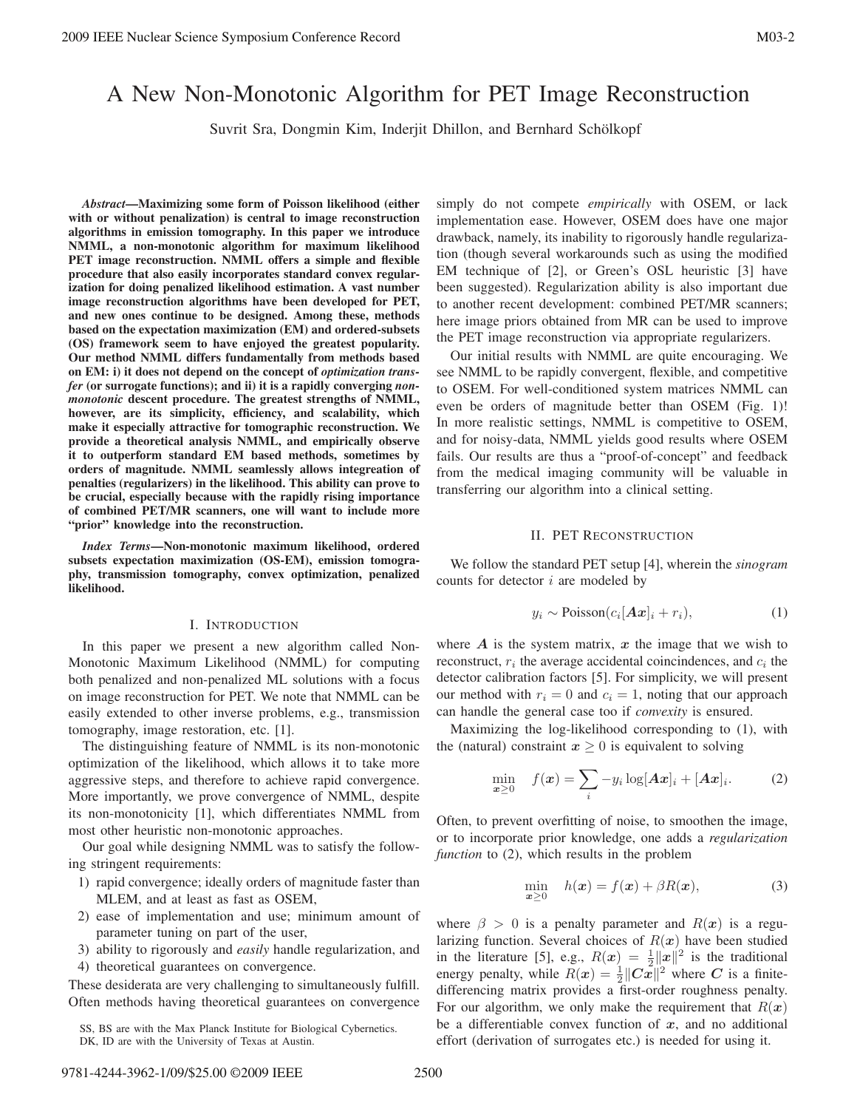# A New Non-Monotonic Algorithm for PET Image Reconstruction

Suvrit Sra, Dongmin Kim, Inderjit Dhillon, and Bernhard Schölkopf

*Abstract*—Maximizing some form of Poisson likelihood (either with or without penalization) is central to image reconstruction algorithms in emission tomography. In this paper we introduce NMML, a non-monotonic algorithm for maximum likelihood PET image reconstruction. NMML offers a simple and flexible procedure that also easily incorporates standard convex regularization for doing penalized likelihood estimation. A vast number image reconstruction algorithms have been developed for PET, and new ones continue to be designed. Among these, methods based on the expectation maximization (EM) and ordered-subsets (OS) framework seem to have enjoyed the greatest popularity. Our method NMML differs fundamentally from methods based on EM: i) it does not depend on the concept of *optimization transfer* (or surrogate functions); and ii) it is a rapidly converging *nonmonotonic* descent procedure. The greatest strengths of NMML, however, are its simplicity, efficiency, and scalability, which make it especially attractive for tomographic reconstruction. We provide a theoretical analysis NMML, and empirically observe it to outperform standard EM based methods, sometimes by orders of magnitude. NMML seamlessly allows integreation of penalties (regularizers) in the likelihood. This ability can prove to be crucial, especially because with the rapidly rising importance of combined PET/MR scanners, one will want to include more "prior" knowledge into the reconstruction.

*Index Terms*—Non-monotonic maximum likelihood, ordered subsets expectation maximization (OS-EM), emission tomography, transmission tomography, convex optimization, penalized likelihood.

#### I. INTRODUCTION

In this paper we present a new algorithm called Non-Monotonic Maximum Likelihood (NMML) for computing both penalized and non-penalized ML solutions with a focus on image reconstruction for PET. We note that NMML can be easily extended to other inverse problems, e.g., transmission tomography, image restoration, etc. [1].

The distinguishing feature of NMML is its non-monotonic optimization of the likelihood, which allows it to take more aggressive steps, and therefore to achieve rapid convergence. More importantly, we prove convergence of NMML, despite its non-monotonicity [1], which differentiates NMML from most other heuristic non-monotonic approaches.

Our goal while designing NMML was to satisfy the following stringent requirements:

- 1) rapid convergence; ideally orders of magnitude faster than MLEM, and at least as fast as OSEM,
- 2) ease of implementation and use; minimum amount of parameter tuning on part of the user,
- 3) ability to rigorously and *easily* handle regularization, and
- 4) theoretical guarantees on convergence.

These desiderata are very challenging to simultaneously fulfill. Often methods having theoretical guarantees on convergence

SS, BS are with the Max Planck Institute for Biological Cybernetics. DK, ID are with the University of Texas at Austin.

simply do not compete *empirically* with OSEM, or lack implementation ease. However, OSEM does have one major drawback, namely, its inability to rigorously handle regularization (though several workarounds such as using the modified EM technique of [2], or Green's OSL heuristic [3] have been suggested). Regularization ability is also important due to another recent development: combined PET/MR scanners; here image priors obtained from MR can be used to improve the PET image reconstruction via appropriate regularizers.

Our initial results with NMML are quite encouraging. We see NMML to be rapidly convergent, flexible, and competitive to OSEM. For well-conditioned system matrices NMML can even be orders of magnitude better than OSEM (Fig. 1)! In more realistic settings, NMML is competitive to OSEM, and for noisy-data, NMML yields good results where OSEM fails. Our results are thus a "proof-of-concept" and feedback from the medical imaging community will be valuable in transferring our algorithm into a clinical setting.

#### II. PET RECONSTRUCTION

We follow the standard PET setup [4], wherein the *sinogram* counts for detector  $i$  are modeled by

$$
y_i \sim \text{Poisson}(c_i[\mathbf{A}\mathbf{x}]_i + r_i), \tag{1}
$$

where  $\vec{A}$  is the system matrix,  $\vec{x}$  the image that we wish to reconstruct,  $r_i$  the average accidental coincindences, and  $c_i$  the detector calibration factors [5]. For simplicity, we will present our method with  $r_i = 0$  and  $c_i = 1$ , noting that our approach can handle the general case too if *convexity* is ensured.

Maximizing the log-likelihood corresponding to (1), with the (natural) constraint  $x \geq 0$  is equivalent to solving

$$
\min_{\boldsymbol{x}\geq 0} \quad f(\boldsymbol{x}) = \sum_{i} -y_i \log[\boldsymbol{A}\boldsymbol{x}]_i + [\boldsymbol{A}\boldsymbol{x}]_i. \tag{2}
$$

Often, to prevent overfitting of noise, to smoothen the image, or to incorporate prior knowledge, one adds a *regularization function* to (2), which results in the problem

$$
\min_{\boldsymbol{x}\geq 0} \quad h(\boldsymbol{x}) = f(\boldsymbol{x}) + \beta R(\boldsymbol{x}), \tag{3}
$$

where  $\beta > 0$  is a penalty parameter and  $R(x)$  is a regularizing function. Several choices of  $R(x)$  have been studied in the literature [5], e.g.,  $R(x) = \frac{1}{2} ||x||^2$  is the traditional<br>energy penalty while  $R(x) = \frac{1}{2} ||G_x||^2$  where *G* is a finiteenergy penalty, while  $R(x) = \frac{1}{2} ||C\tilde{x}||^2$  where *C* is a finite-<br>differencing matrix provides a first-order roughness penalty differencing matrix provides a first-order roughness penalty. For our algorithm, we only make the requirement that  $R(x)$ be a differentiable convex function of  $x$ , and no additional effort (derivation of surrogates etc.) is needed for using it.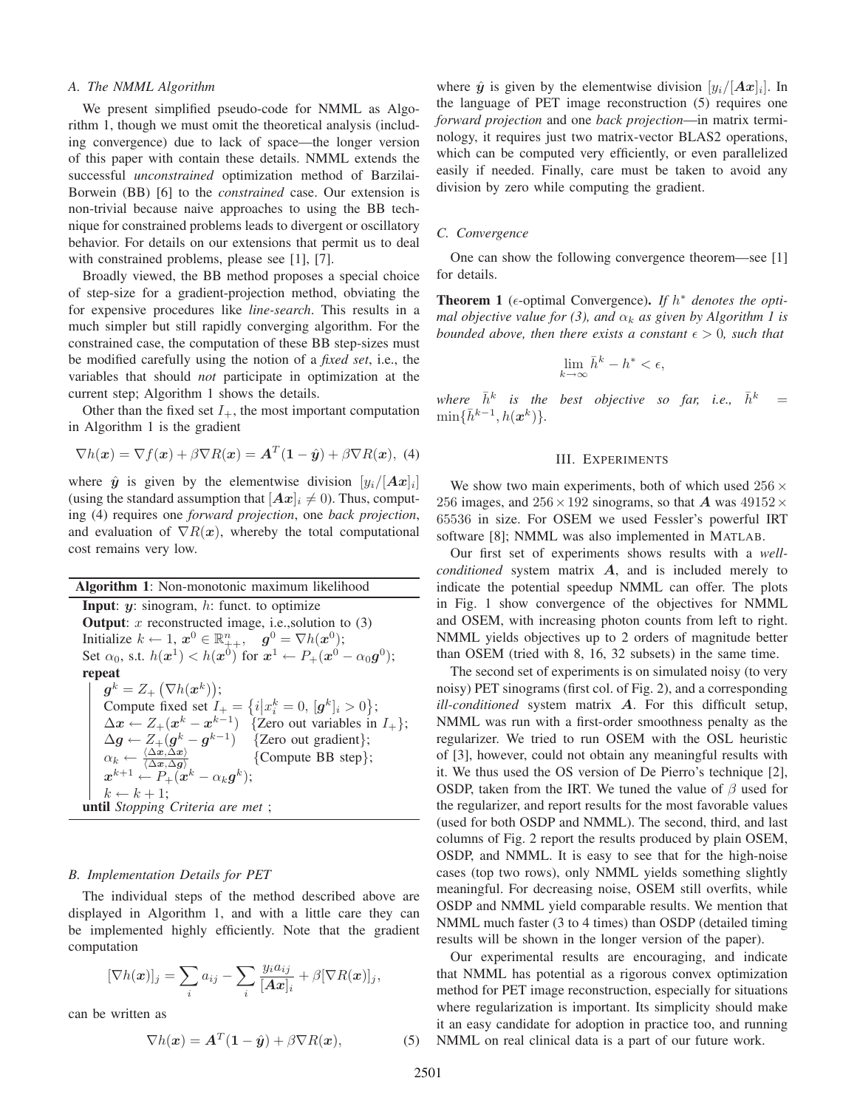#### *A. The NMML Algorithm*

We present simplified pseudo-code for NMML as Algorithm 1, though we must omit the theoretical analysis (including convergence) due to lack of space—the longer version of this paper with contain these details. NMML extends the successful *unconstrained* optimization method of Barzilai-Borwein (BB) [6] to the *constrained* case. Our extension is non-trivial because naive approaches to using the BB technique for constrained problems leads to divergent or oscillatory behavior. For details on our extensions that permit us to deal with constrained problems, please see [1], [7].

Broadly viewed, the BB method proposes a special choice of step-size for a gradient-projection method, obviating the for expensive procedures like *line-search*. This results in a much simpler but still rapidly converging algorithm. For the constrained case, the computation of these BB step-sizes must be modified carefully using the notion of a *fixed set*, i.e., the variables that should *not* participate in optimization at the current step; Algorithm 1 shows the details.

Other than the fixed set  $I_+$ , the most important computation in Algorithm 1 is the gradient

$$
\nabla h(\mathbf{x}) = \nabla f(\mathbf{x}) + \beta \nabla R(\mathbf{x}) = \mathbf{A}^T (\mathbf{1} - \hat{\mathbf{y}}) + \beta \nabla R(\mathbf{x}), \tag{4}
$$

where  $\hat{y}$  is given by the elementwise division  $[y_i/|Ax]_i$ (using the standard assumption that  $[Ax]_i \neq 0$ ). Thus, computing (4) requires one *forward projection*, one *back projection*, and evaluation of  $\nabla R(x)$ , whereby the total computational cost remains very low.

| <b>Algorithm 1:</b> Non-monotonic maximum likelihood                                                                                          |
|-----------------------------------------------------------------------------------------------------------------------------------------------|
| <b>Input:</b> $y$ : sinogram, $h$ : funct. to optimize                                                                                        |
| <b>Output:</b> x reconstructed image, i.e., solution to $(3)$                                                                                 |
| Initialize $k \leftarrow 1$ , $x^0 \in \mathbb{R}_{++}^n$ , $g^0 = \nabla h(x^0)$ ;                                                           |
| Set $\alpha_0$ , s.t. $h(x^1) < h(x^0)$ for $x^1 \leftarrow P_+(x^0 - \alpha_0 g^0)$ ;                                                        |
| repeat                                                                                                                                        |
| $g^k = Z_+ \left( \nabla h(x^k) \right);$                                                                                                     |
| Compute fixed set $I_+ = \{i   x_i^k = 0, [g^k]_i > 0\};$                                                                                     |
| $\Delta x \leftarrow Z_+(x^k - x^{k-1})$ {Zero out variables in $I_+$ };                                                                      |
| $\Delta g \leftarrow Z_+(g^k - g^{k-1})$ {Zero out gradient};                                                                                 |
| $\alpha_k \leftarrow \frac{\langle \Delta \bm{x}, \Delta \bm{x} \rangle}{\langle \Delta \bm{x}, \Delta \bm{q} \rangle}$<br>{Compute BB step}; |
| $x^{k+1} \leftarrow P_+(x^k - \alpha_k q^k);$                                                                                                 |
| $k \leftarrow k + 1$ :                                                                                                                        |
| <b>until</b> Stopping Criteria are met;                                                                                                       |
|                                                                                                                                               |

#### *B. Implementation Details for PET*

The individual steps of the method described above are displayed in Algorithm 1, and with a little care they can be implemented highly efficiently. Note that the gradient computation

$$
[\nabla h(\boldsymbol{x})]_j = \sum_i a_{ij} - \sum_i \frac{y_i a_{ij}}{[\boldsymbol{A}\boldsymbol{x}]_i} + \beta [\nabla R(\boldsymbol{x})]_j,
$$

can be written as

$$
\nabla h(\boldsymbol{x}) = \boldsymbol{A}^T (\boldsymbol{1} - \hat{\boldsymbol{y}}) + \beta \nabla R(\boldsymbol{x}), \tag{5}
$$

where  $\hat{y}$  is given by the elementwise division  $[y_i/|Ax_i]$ . In the language of PET image reconstruction (5) requires one *forward projection* and one *back projection*—in matrix terminology, it requires just two matrix-vector BLAS2 operations, which can be computed very efficiently, or even parallelized easily if needed. Finally, care must be taken to avoid any division by zero while computing the gradient.

### *C. Convergence*

One can show the following convergence theorem—see [1] for details.

**Theorem 1** ( $\epsilon$ -optimal Convergence). *If*  $h^*$  *denotes the optimal objective value for (3), and*  $\alpha_k$  *as given by Algorithm 1 is bounded above, then there exists a constant*  $\epsilon > 0$ *, such that* 

$$
\lim_{k \to \infty} \bar{h}^k - h^* < \epsilon,
$$

*where*  $\bar{h}^k$  *is the best objective so far, i.e.,*  $\bar{h}^k$  $\min\{\bar{h}^{k-1}, h(\boldsymbol{x}^k)\}.$ 

## III. EXPERIMENTS

We show two main experiments, both of which used  $256 \times$ 256 images, and  $256 \times 192$  sinograms, so that *A* was  $49152 \times$ 65536 in size. For OSEM we used Fessler's powerful IRT software [8]; NMML was also implemented in MATLAB.

Our first set of experiments shows results with a *wellconditioned* system matrix *A*, and is included merely to indicate the potential speedup NMML can offer. The plots in Fig. 1 show convergence of the objectives for NMML and OSEM, with increasing photon counts from left to right. NMML yields objectives up to 2 orders of magnitude better than OSEM (tried with 8, 16, 32 subsets) in the same time.

The second set of experiments is on simulated noisy (to very noisy) PET sinograms (first col. of Fig. 2), and a corresponding *ill-conditioned* system matrix *A*. For this difficult setup, NMML was run with a first-order smoothness penalty as the regularizer. We tried to run OSEM with the OSL heuristic of [3], however, could not obtain any meaningful results with it. We thus used the OS version of De Pierro's technique [2], OSDP, taken from the IRT. We tuned the value of  $\beta$  used for the regularizer, and report results for the most favorable values (used for both OSDP and NMML). The second, third, and last columns of Fig. 2 report the results produced by plain OSEM, OSDP, and NMML. It is easy to see that for the high-noise cases (top two rows), only NMML yields something slightly meaningful. For decreasing noise, OSEM still overfits, while OSDP and NMML yield comparable results. We mention that NMML much faster (3 to 4 times) than OSDP (detailed timing results will be shown in the longer version of the paper).

Our experimental results are encouraging, and indicate that NMML has potential as a rigorous convex optimization method for PET image reconstruction, especially for situations where regularization is important. Its simplicity should make it an easy candidate for adoption in practice too, and running NMML on real clinical data is a part of our future work.